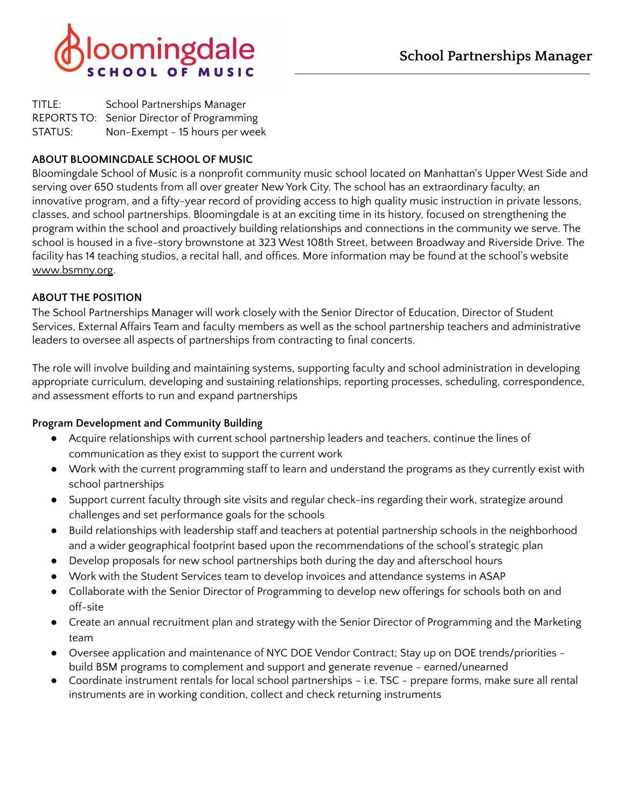



| TITLE:  | School Partnerships Manager                |
|---------|--------------------------------------------|
|         | REPORTS TO: Senior Director of Programming |
| STATUS: | Non-Exempt - 15 hours per week             |

# **ABOUT BLOOMINGDALE SCHOOL OF MUSIC**

Bloomingdale School of Music is a nonprofit community music school located on Manhattan's Upper West Side and serving over 650 students from all over greater New York City. The school has an extraordinary faculty, an innovative program, and a fifty-year record of providing access to high quality music instruction in private lessons, classes, and school partnerships. Bloomingdale is at an exciting time in its history, focused on strengthening the program within the school and proactively building relationships and connections in the community we serve. The school is housed in a five-story brownstone at 323 West 108th Street, between Broadway and Riverside Drive. The facility has 14 teaching studios, a recital hall, and offices. More information may be found at the school's website [www.bsmny.org.](http://www.bsmny.org/)

## **ABOUT THE POSITION**

The School Partnerships Manager will work closely with the Senior Director of Education, Director of Student Services, External Affairs Team and faculty members as well as the school partnership teachers and administrative leaders to oversee all aspects of partnerships from contracting to final concerts.

The role will involve building and maintaining systems, supporting faculty and school administration in developing appropriate curriculum, developing and sustaining relationships, reporting processes, scheduling, correspondence, and assessment efforts to run and expand partnerships

### **Program Development and Community Building**

- Acquire relationships with current school partnership leaders and teachers, continue the lines of communication as they exist to support the current work
- Work with the current programming staff to learn and understand the programs as they currently exist with school partnerships
- Support current faculty through site visits and regular check-ins regarding their work, strategize around challenges and set performance goals for the schools
- Build relationships with leadership staff and teachers at potential partnership schools in the neighborhood and a wider geographical footprint based upon the recommendations of the school's strategic plan
- Develop proposals for new school partnerships both during the day and afterschool hours
- Work with the Student Services team to develop invoices and attendance systems in ASAP
- Collaborate with the Senior Director of Programming to develop new offerings for schools both on and off-site
- Create an annual recruitment plan and strategy with the Senior Director of Programming and the Marketing team
- Oversee application and maintenance of NYC DOE Vendor Contract; Stay up on DOE trends/priorities build BSM programs to complement and support and generate revenue - earned/unearned
- Coordinate instrument rentals for local school partnerships i.e. TSC prepare forms, make sure all rental instruments are in working condition, collect and check returning instruments